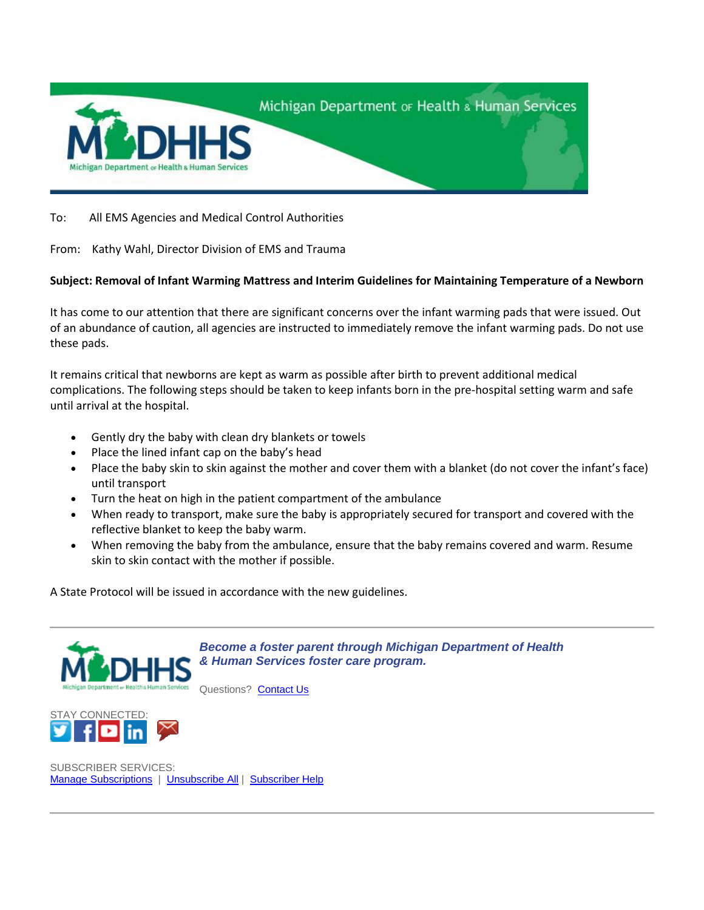

To: All EMS Agencies and Medical Control Authorities

From: Kathy Wahl, Director Division of EMS and Trauma

## **Subject: Removal of Infant Warming Mattress and Interim Guidelines for Maintaining Temperature of a Newborn**

It has come to our attention that there are significant concerns over the infant warming pads that were issued. Out of an abundance of caution, all agencies are instructed to immediately remove the infant warming pads. Do not use these pads.

It remains critical that newborns are kept as warm as possible after birth to prevent additional medical complications. The following steps should be taken to keep infants born in the pre-hospital setting warm and safe until arrival at the hospital.

- Gently dry the baby with clean dry blankets or towels
- Place the lined infant cap on the baby's head
- Place the baby skin to skin against the mother and cover them with a blanket (do not cover the infant's face) until transport
- Turn the heat on high in the patient compartment of the ambulance
- When ready to transport, make sure the baby is appropriately secured for transport and covered with the reflective blanket to keep the baby warm.
- When removing the baby from the ambulance, ensure that the baby remains covered and warm. Resume skin to skin contact with the mother if possible.

A State Protocol will be issued in accordance with the new guidelines.



*[Become a foster parent through Michigan Department of Health](http://links.govdelivery.com/track?type=click&enid=ZWFzPTEmbXNpZD0mYXVpZD0mbWFpbGluZ2lkPTIwMTkwOTE2LjEwMjQ4NjIxJm1lc3NhZ2VpZD1NREItUFJELUJVTC0yMDE5MDkxNi4xMDI0ODYyMSZkYXRhYmFzZWlkPTEwMDEmc2VyaWFsPTE2Nzk1NDg2JmVtYWlsaWQ9RmxvcnlEQE1pY2hpZ2FuLmdvdiZ1c2VyaWQ9RmxvcnlEQE1pY2hpZ2FuLmdvdiZ0YXJnZXRpZD0mZmw9Jm12aWQ9JmV4dHJhPSYmJg==&&&101&&&http://www.michigan.gov/dhs/0,4562,7-124-60126-275342--,00.html)  [& Human Services foster care program.](http://links.govdelivery.com/track?type=click&enid=ZWFzPTEmbXNpZD0mYXVpZD0mbWFpbGluZ2lkPTIwMTkwOTE2LjEwMjQ4NjIxJm1lc3NhZ2VpZD1NREItUFJELUJVTC0yMDE5MDkxNi4xMDI0ODYyMSZkYXRhYmFzZWlkPTEwMDEmc2VyaWFsPTE2Nzk1NDg2JmVtYWlsaWQ9RmxvcnlEQE1pY2hpZ2FuLmdvdiZ1c2VyaWQ9RmxvcnlEQE1pY2hpZ2FuLmdvdiZ0YXJnZXRpZD0mZmw9Jm12aWQ9JmV4dHJhPSYmJg==&&&101&&&http://www.michigan.gov/dhs/0,4562,7-124-60126-275342--,00.html)*

Questions? [Contact Us](http://links.govdelivery.com/track?type=click&enid=ZWFzPTEmbXNpZD0mYXVpZD0mbWFpbGluZ2lkPTIwMTkwOTE2LjEwMjQ4NjIxJm1lc3NhZ2VpZD1NREItUFJELUJVTC0yMDE5MDkxNi4xMDI0ODYyMSZkYXRhYmFzZWlkPTEwMDEmc2VyaWFsPTE2Nzk1NDg2JmVtYWlsaWQ9RmxvcnlEQE1pY2hpZ2FuLmdvdiZ1c2VyaWQ9RmxvcnlEQE1pY2hpZ2FuLmdvdiZ0YXJnZXRpZD0mZmw9Jm12aWQ9JmV4dHJhPSYmJg==&&&102&&&http://michigan.gov/mdhhs/0,5885,7-339--352302--,00.html)



SUBSCRIBER SERVICES: Manage [Subscriptions](http://links.govdelivery.com/track?type=click&enid=ZWFzPTEmbXNpZD0mYXVpZD0mbWFpbGluZ2lkPTIwMTkwOTE2LjEwMjQ4NjIxJm1lc3NhZ2VpZD1NREItUFJELUJVTC0yMDE5MDkxNi4xMDI0ODYyMSZkYXRhYmFzZWlkPTEwMDEmc2VyaWFsPTE2Nzk1NDg2JmVtYWlsaWQ9RmxvcnlEQE1pY2hpZ2FuLmdvdiZ1c2VyaWQ9RmxvcnlEQE1pY2hpZ2FuLmdvdiZ0YXJnZXRpZD0mZmw9Jm12aWQ9JmV4dHJhPSYmJg==&&&107&&&https://public.govdelivery.com/accounts/MIDHHS/subscriber/edit?preferences=true#tab1) | [Unsubscribe](http://links.govdelivery.com/track?type=click&enid=ZWFzPTEmbXNpZD0mYXVpZD0mbWFpbGluZ2lkPTIwMTkwOTE2LjEwMjQ4NjIxJm1lc3NhZ2VpZD1NREItUFJELUJVTC0yMDE5MDkxNi4xMDI0ODYyMSZkYXRhYmFzZWlkPTEwMDEmc2VyaWFsPTE2Nzk1NDg2JmVtYWlsaWQ9RmxvcnlEQE1pY2hpZ2FuLmdvdiZ1c2VyaWQ9RmxvcnlEQE1pY2hpZ2FuLmdvdiZ0YXJnZXRpZD0mZmw9Jm12aWQ9JmV4dHJhPSYmJg==&&&108&&&https://public.govdelivery.com/accounts/MIDHHS/subscriber/one_click_unsubscribe?verification=5.0ad227a75e4935e5a9e29bc0640538ea&destination=FloryD%40Michigan.gov) All | [Subscriber Help](http://links.govdelivery.com/track?type=click&enid=ZWFzPTEmbXNpZD0mYXVpZD0mbWFpbGluZ2lkPTIwMTkwOTE2LjEwMjQ4NjIxJm1lc3NhZ2VpZD1NREItUFJELUJVTC0yMDE5MDkxNi4xMDI0ODYyMSZkYXRhYmFzZWlkPTEwMDEmc2VyaWFsPTE2Nzk1NDg2JmVtYWlsaWQ9RmxvcnlEQE1pY2hpZ2FuLmdvdiZ1c2VyaWQ9RmxvcnlEQE1pY2hpZ2FuLmdvdiZ0YXJnZXRpZD0mZmw9Jm12aWQ9JmV4dHJhPSYmJg==&&&109&&&https://insights.govdelivery.com/Communications/Subscriber_Help_Center)